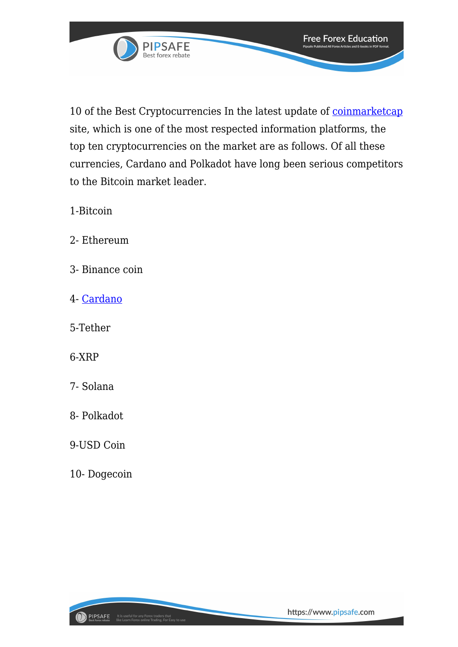

10 of the Best Cryptocurrencies In the latest update of [coinmarketcap](https://coinmarketcap.com/) site, which is one of the most respected information platforms, the top ten cryptocurrencies on the market are as follows. Of all these currencies, Cardano and Polkadot have long been serious competitors

**Free Forex Education** 

to the Bitcoin market leader.

1-Bitcoin

- 2- Ethereum
- 3- Binance coin
- 4- [Cardano](http://10 of the Best Cryptocurrencies In the latest update of coinmarketcap site, which is one of the most respected information platforms, the top ten cryptocurrencies on the market are as follows. Of all these currencies, Cardano and Polkadot have long been serious competitors to the Bitcoin market leader.)
- 5-Tether
- 6-XRP
- 7- Solana
- 8- Polkadot
- 9-USD Coin
- 10- Dogecoin

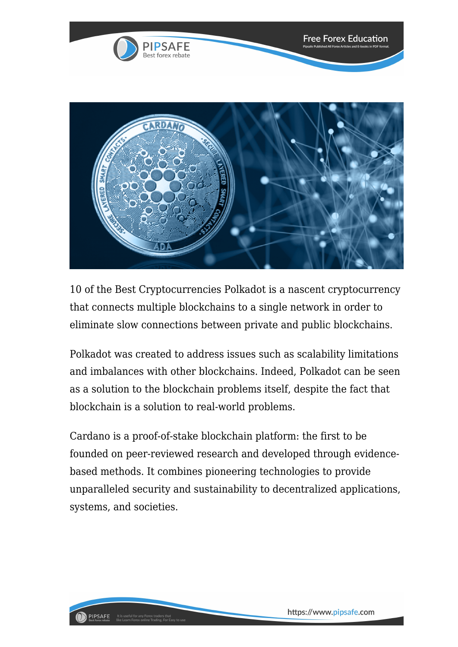

10 of the Best Cryptocurrencies Polkadot is a nascent cryptocurrency that connects multiple blockchains to a single network in order to eliminate slow connections between private and public blockchains.

Polkadot was created to address issues such as scalability limitations and imbalances with other blockchains. Indeed, Polkadot can be seen as a solution to the blockchain problems itself, despite the fact that blockchain is a solution to real-world problems.

Cardano is a proof-of-stake blockchain platform: the first to be founded on peer-reviewed research and developed through evidencebased methods. It combines pioneering technologies to provide unparalleled security and sustainability to decentralized applications, systems, and societies.